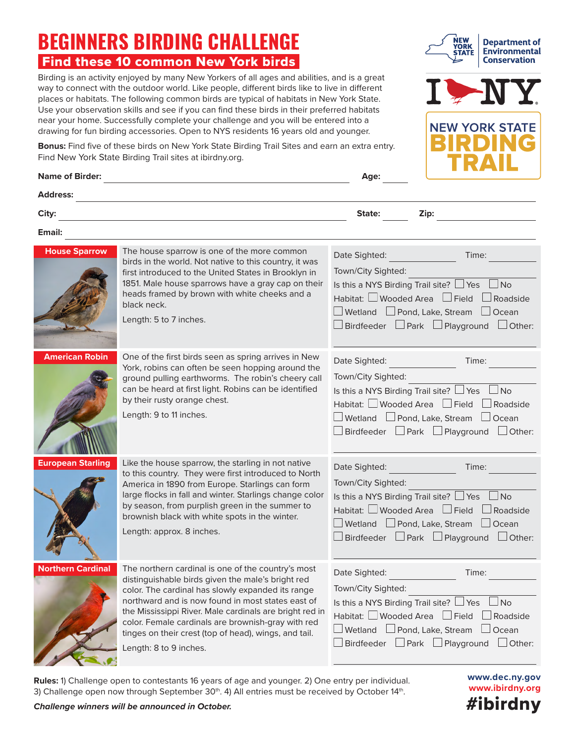## **BEGINNERS BIRDING CHALLENGE** Find these 10 common New York birds

Birding is an activity enjoyed by many New Yorkers of all ages and abilities, and is a great way to connect with the outdoor world. Like people, different birds like to live in different places or habitats. The following common birds are typical of habitats in New York State. Use your observation skills and see if you can find these birds in their preferred habitats near your home. Successfully complete your challenge and you will be entered into a drawing for fun birding accessories. Open to NYS residents 16 years old and younger.

**Bonus:** Find five of these birds on New York State Birding Trail Sites and earn an extra entry. Find New York State Birding Trail sites at [ibirdny.org.](https://ibirdny.org)

| <b>Address:</b><br>City:<br>State:<br>Zip:<br>Email:<br><b>House Sparrow</b><br>The house sparrow is one of the more common<br>Date Sighted:<br>Time:<br>birds in the world. Not native to this country, it was<br>Town/City Sighted:<br>first introduced to the United States in Brooklyn in<br>1851. Male house sparrows have a gray cap on their<br>Is this a NYS Birding Trail site? $\Box$ Yes $\Box$ No<br>heads framed by brown with white cheeks and a<br>Habitat: $\Box$ Wooded Area $\Box$ Field $\Box$ Roadside<br>black neck.<br>$\Box$ Wetland $\Box$ Pond, Lake, Stream $\Box$ Ocean<br>Length: 5 to 7 inches.<br><b>American Robin</b><br>One of the first birds seen as spring arrives in New<br>Date Sighted:<br>Time:<br>York, robins can often be seen hopping around the<br>Town/City Sighted:<br>ground pulling earthworms. The robin's cheery call<br>can be heard at first light. Robins can be identified<br>Is this a NYS Birding Trail site? $\Box$ Yes $\Box$ No<br>by their rusty orange chest.<br>Habitat: $\Box$ Wooded Area $\Box$ Field $\Box$ Roadside<br>Length: 9 to 11 inches.<br>$\square$ Wetland $\square$ Pond, Lake, Stream $\square$ Ocean<br><b>European Starling</b><br>Like the house sparrow, the starling in not native<br>Date Sighted:<br>Time:<br>to this country. They were first introduced to North<br>Town/City Sighted:<br>America in 1890 from Europe. Starlings can form<br>large flocks in fall and winter. Starlings change color<br>Is this a NYS Birding Trail site? $\Box$ Yes $\Box$ No<br>by season, from purplish green in the summer to<br>Habitat: Wooded Area □ Field □ Roadside<br>brownish black with white spots in the winter.<br>$\Box$ Wetland $\Box$ Pond, Lake, Stream $\Box$ Ocean<br>Length: approx. 8 inches.<br><b>Northern Cardinal</b><br>The northern cardinal is one of the country's most<br>Date Sighted:<br>Time:<br>distinguishable birds given the male's bright red<br>Town/City Sighted:<br>color. The cardinal has slowly expanded its range<br>northward and is now found in most states east of<br>Is this a NYS Birding Trail site? $\Box$ Yes $\Box$ No<br>the Mississippi River. Male cardinals are bright red in<br>Habitat: □ Wooded Area □ Field [<br>$\Box$ Roadside<br>color. Female cardinals are brownish-gray with red<br>$\Box$ Wetland $\Box$ Pond, Lake, Stream $\Box$ Ocean<br>tinges on their crest (top of head), wings, and tail.<br>Length: 8 to 9 inches. | <b>Name of Birder:</b> | Age:                                                          |
|-----------------------------------------------------------------------------------------------------------------------------------------------------------------------------------------------------------------------------------------------------------------------------------------------------------------------------------------------------------------------------------------------------------------------------------------------------------------------------------------------------------------------------------------------------------------------------------------------------------------------------------------------------------------------------------------------------------------------------------------------------------------------------------------------------------------------------------------------------------------------------------------------------------------------------------------------------------------------------------------------------------------------------------------------------------------------------------------------------------------------------------------------------------------------------------------------------------------------------------------------------------------------------------------------------------------------------------------------------------------------------------------------------------------------------------------------------------------------------------------------------------------------------------------------------------------------------------------------------------------------------------------------------------------------------------------------------------------------------------------------------------------------------------------------------------------------------------------------------------------------------------------------------------------------------------------------------------------------------------------------------------------------------------------------------------------------------------------------------------------------------------------------------------------------------------------------------------------------------------------------------------------------------------------------------------------------------------------------------------------------------------------------------------------------------------------------------------------------------|------------------------|---------------------------------------------------------------|
|                                                                                                                                                                                                                                                                                                                                                                                                                                                                                                                                                                                                                                                                                                                                                                                                                                                                                                                                                                                                                                                                                                                                                                                                                                                                                                                                                                                                                                                                                                                                                                                                                                                                                                                                                                                                                                                                                                                                                                                                                                                                                                                                                                                                                                                                                                                                                                                                                                                                             |                        |                                                               |
|                                                                                                                                                                                                                                                                                                                                                                                                                                                                                                                                                                                                                                                                                                                                                                                                                                                                                                                                                                                                                                                                                                                                                                                                                                                                                                                                                                                                                                                                                                                                                                                                                                                                                                                                                                                                                                                                                                                                                                                                                                                                                                                                                                                                                                                                                                                                                                                                                                                                             |                        |                                                               |
|                                                                                                                                                                                                                                                                                                                                                                                                                                                                                                                                                                                                                                                                                                                                                                                                                                                                                                                                                                                                                                                                                                                                                                                                                                                                                                                                                                                                                                                                                                                                                                                                                                                                                                                                                                                                                                                                                                                                                                                                                                                                                                                                                                                                                                                                                                                                                                                                                                                                             |                        |                                                               |
|                                                                                                                                                                                                                                                                                                                                                                                                                                                                                                                                                                                                                                                                                                                                                                                                                                                                                                                                                                                                                                                                                                                                                                                                                                                                                                                                                                                                                                                                                                                                                                                                                                                                                                                                                                                                                                                                                                                                                                                                                                                                                                                                                                                                                                                                                                                                                                                                                                                                             |                        | $\Box$ Birdfeeder $\Box$ Park $\Box$ Playground $\Box$ Other: |
|                                                                                                                                                                                                                                                                                                                                                                                                                                                                                                                                                                                                                                                                                                                                                                                                                                                                                                                                                                                                                                                                                                                                                                                                                                                                                                                                                                                                                                                                                                                                                                                                                                                                                                                                                                                                                                                                                                                                                                                                                                                                                                                                                                                                                                                                                                                                                                                                                                                                             |                        | $\Box$ Birdfeeder $\Box$ Park $\Box$ Playground $\Box$ Other: |
|                                                                                                                                                                                                                                                                                                                                                                                                                                                                                                                                                                                                                                                                                                                                                                                                                                                                                                                                                                                                                                                                                                                                                                                                                                                                                                                                                                                                                                                                                                                                                                                                                                                                                                                                                                                                                                                                                                                                                                                                                                                                                                                                                                                                                                                                                                                                                                                                                                                                             |                        | $\Box$ Birdfeeder $\Box$ Park $\Box$ Playground $\Box$ Other: |
|                                                                                                                                                                                                                                                                                                                                                                                                                                                                                                                                                                                                                                                                                                                                                                                                                                                                                                                                                                                                                                                                                                                                                                                                                                                                                                                                                                                                                                                                                                                                                                                                                                                                                                                                                                                                                                                                                                                                                                                                                                                                                                                                                                                                                                                                                                                                                                                                                                                                             |                        | $\Box$ Birdfeeder $\Box$ Park $\Box$ Playground $\Box$ Other: |

**Rules:** 1) Challenge open to contestants 16 years of age and younger. 2) One entry per individual. 3) Challenge open now through September 30<sup>th</sup>. 4) All entries must be received by October 14<sup>th</sup>.

*Challenge winners will be announced in October.*





**NEW YORK STATE**